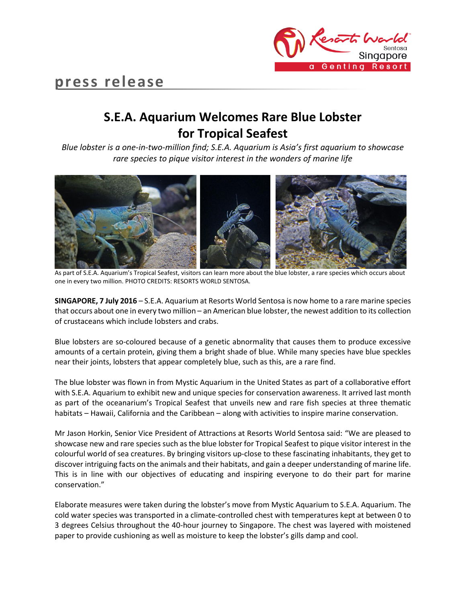

# **press release**

## **S.E.A. Aquarium Welcomes Rare Blue Lobster for Tropical Seafest**

*Blue lobster is a one-in-two-million find; S.E.A. Aquarium is Asia's first aquarium to showcase rare species to pique visitor interest in the wonders of marine life*



As part of S.E.A. Aquarium's Tropical Seafest, visitors can learn more about the blue lobster, a rare species which occurs about one in every two million. PHOTO CREDITS: RESORTS WORLD SENTOSA.

**SINGAPORE, 7 July 2016** – S.E.A. Aquarium at Resorts World Sentosa is now home to a rare marine species that occurs about one in every two million – an American blue lobster, the newest addition to its collection of crustaceans which include lobsters and crabs.

Blue lobsters are so-coloured because of a genetic abnormality that causes them to produce excessive amounts of a certain protein, giving them a bright shade of blue. While many species have blue speckles near their joints, lobsters that appear completely blue, such as this, are a rare find.

The blue lobster was flown in from Mystic Aquarium in the United States as part of a collaborative effort with S.E.A. Aquarium to exhibit new and unique species for conservation awareness. It arrived last month as part of the oceanarium's Tropical Seafest that unveils new and rare fish species at three thematic habitats – Hawaii, California and the Caribbean – along with activities to inspire marine conservation.

Mr Jason Horkin, Senior Vice President of Attractions at Resorts World Sentosa said: "We are pleased to showcase new and rare species such as the blue lobster for Tropical Seafest to pique visitor interest in the colourful world of sea creatures. By bringing visitors up-close to these fascinating inhabitants, they get to discover intriguing facts on the animals and their habitats, and gain a deeper understanding of marine life. This is in line with our objectives of educating and inspiring everyone to do their part for marine conservation."

Elaborate measures were taken during the lobster's move from Mystic Aquarium to S.E.A. Aquarium. The cold water species was transported in a climate-controlled chest with temperatures kept at between 0 to 3 degrees Celsius throughout the 40-hour journey to Singapore. The chest was layered with moistened paper to provide cushioning as well as moisture to keep the lobster's gills damp and cool.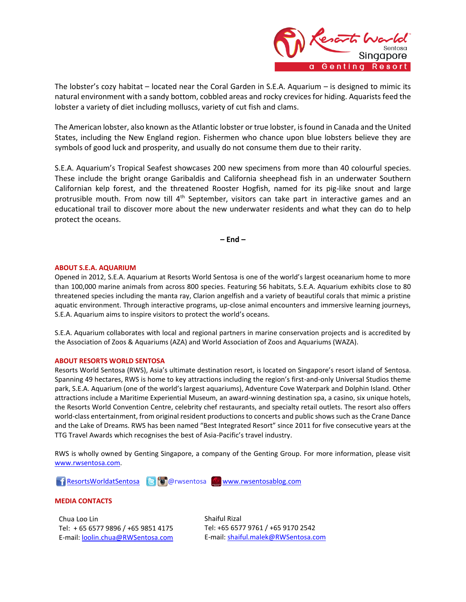

The lobster's cozy habitat – located near the Coral Garden in S.E.A. Aquarium – is designed to mimic its natural environment with a sandy bottom, cobbled areas and rocky crevices for hiding. Aquarists feed the lobster a variety of diet including molluscs, variety of cut fish and clams.

The American lobster, also known as the Atlantic lobster or true lobster, is found in Canada and the United States, including the New England region. Fishermen who chance upon blue lobsters believe they are symbols of good luck and prosperity, and usually do not consume them due to their rarity.

S.E.A. Aquarium's Tropical Seafest showcases 200 new specimens from more than 40 colourful species. These include the bright orange Garibaldis and California sheephead fish in an underwater Southern Californian kelp forest, and the threatened Rooster Hogfish, named for its pig-like snout and large protrusible mouth. From now till  $4<sup>th</sup>$  September, visitors can take part in interactive games and an educational trail to discover more about the new underwater residents and what they can do to help protect the oceans.

**– End –**

## **ABOUT S.E.A. AQUARIUM**

Opened in 2012, S.E.A. Aquarium at Resorts World Sentosa is one of the world's largest oceanarium home to more than 100,000 marine animals from across 800 species. Featuring 56 habitats, S.E.A. Aquarium exhibits close to 80 threatened species including the manta ray, Clarion angelfish and a variety of beautiful corals that mimic a pristine aquatic environment. Through interactive programs, up-close animal encounters and immersive learning journeys, S.E.A. Aquarium aims to inspire visitors to protect the world's oceans.

S.E.A. Aquarium collaborates with local and regional partners in marine conservation projects and is accredited by the Association of Zoos & Aquariums (AZA) and World Association of Zoos and Aquariums (WAZA).

#### **ABOUT RESORTS WORLD SENTOSA**

Resorts World Sentosa (RWS), Asia's ultimate destination resort, is located on Singapore's resort island of Sentosa. Spanning 49 hectares, RWS is home to key attractions including the region's first-and-only Universal Studios theme park, S.E.A. Aquarium (one of the world's largest aquariums), Adventure Cove Waterpark and Dolphin Island. Other attractions include a Maritime Experiential Museum, an award-winning destination spa, a casino, six unique hotels, the Resorts World Convention Centre, celebrity chef restaurants, and specialty retail outlets. The resort also offers world-class entertainment, from original resident productions to concerts and public shows such as the Crane Dance and the Lake of Dreams. RWS has been named "Best Integrated Resort" since 2011 for five consecutive years at the TTG Travel Awards which recognises the best of Asia-Pacific's travel industry.

RWS is wholly owned by Genting Singapore, a company of the Genting Group. For more information, please visit [www.rwsentosa.com.](http://www.rwsentosa.com/)

[ResortsWorldatSentosa](https://www.facebook.com/ResortsWorldatSentosa) & @rwsentosa [www.rwsentosablog.com](http://www.rwsentosablog.com/)

## **MEDIA CONTACTS**

Chua Loo Lin Tel: + 65 6577 9896 / +65 9851 4175 E-mail[: loolin.chua@RWSentosa.com](mailto:loolin.chua@RWSentosa.com) Shaiful Rizal Tel: +65 6577 9761 / +65 9170 2542 E-mail: [shaiful.malek@RWSentosa.com](mailto:shaiful.malek@RWSentosa.com)